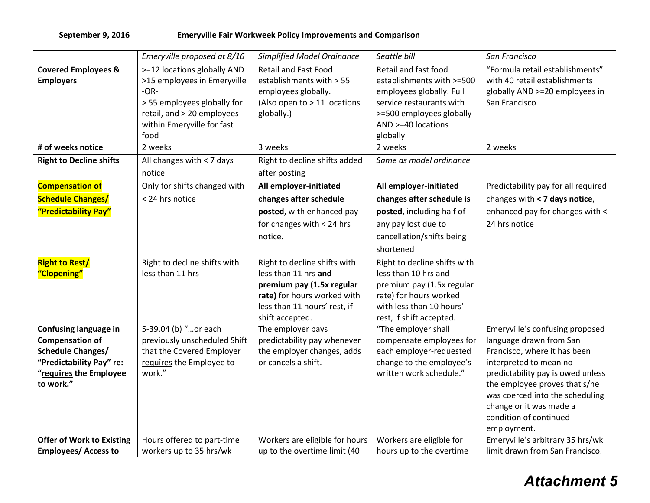## **September 9, 2016 Emeryville Fair Workweek Policy Improvements and Comparison**

|                                                                                                                                                       | Emeryville proposed at 8/16                                                                                                                                                        | <b>Simplified Model Ordinance</b>                                                                                                                                   | Seattle bill                                                                                                                                                                       | San Francisco                                                                                                                                                                                                                                                                                     |
|-------------------------------------------------------------------------------------------------------------------------------------------------------|------------------------------------------------------------------------------------------------------------------------------------------------------------------------------------|---------------------------------------------------------------------------------------------------------------------------------------------------------------------|------------------------------------------------------------------------------------------------------------------------------------------------------------------------------------|---------------------------------------------------------------------------------------------------------------------------------------------------------------------------------------------------------------------------------------------------------------------------------------------------|
| <b>Covered Employees &amp;</b><br><b>Employers</b><br># of weeks notice                                                                               | >=12 locations globally AND<br>>15 employees in Emeryville<br>$-OR-$<br>> 55 employees globally for<br>retail, and > 20 employees<br>within Emeryville for fast<br>food<br>2 weeks | <b>Retail and Fast Food</b><br>establishments with > 55<br>employees globally.<br>(Also open to > 11 locations<br>globally.)<br>3 weeks                             | Retail and fast food<br>establishments with >=500<br>employees globally. Full<br>service restaurants with<br>>=500 employees globally<br>AND >=40 locations<br>globally<br>2 weeks | "Formula retail establishments"<br>with 40 retail establishments<br>globally AND >=20 employees in<br>San Francisco<br>2 weeks                                                                                                                                                                    |
| <b>Right to Decline shifts</b>                                                                                                                        | All changes with $<$ 7 days<br>notice                                                                                                                                              | Right to decline shifts added<br>after posting                                                                                                                      | Same as model ordinance                                                                                                                                                            |                                                                                                                                                                                                                                                                                                   |
| <b>Compensation of</b><br><b>Schedule Changes/</b><br>"Predictability Pay"                                                                            | Only for shifts changed with<br>< 24 hrs notice                                                                                                                                    | All employer-initiated<br>changes after schedule<br>posted, with enhanced pay<br>for changes with < 24 hrs<br>notice.                                               | All employer-initiated<br>changes after schedule is<br>posted, including half of<br>any pay lost due to<br>cancellation/shifts being<br>shortened                                  | Predictability pay for all required<br>changes with < 7 days notice,<br>enhanced pay for changes with <<br>24 hrs notice                                                                                                                                                                          |
| <b>Right to Rest/</b><br>"Clopening"                                                                                                                  | Right to decline shifts with<br>less than 11 hrs                                                                                                                                   | Right to decline shifts with<br>less than 11 hrs and<br>premium pay (1.5x regular<br>rate) for hours worked with<br>less than 11 hours' rest, if<br>shift accepted. | Right to decline shifts with<br>less than 10 hrs and<br>premium pay (1.5x regular<br>rate) for hours worked<br>with less than 10 hours'<br>rest, if shift accepted.                |                                                                                                                                                                                                                                                                                                   |
| <b>Confusing language in</b><br><b>Compensation of</b><br><b>Schedule Changes/</b><br>"Predictability Pay" re:<br>"requires the Employee<br>to work." | 5-39.04 (b) "or each<br>previously unscheduled Shift<br>that the Covered Employer<br>requires the Employee to<br>work."                                                            | The employer pays<br>predictability pay whenever<br>the employer changes, adds<br>or cancels a shift.                                                               | "The employer shall<br>compensate employees for<br>each employer-requested<br>change to the employee's<br>written work schedule."                                                  | Emeryville's confusing proposed<br>language drawn from San<br>Francisco, where it has been<br>interpreted to mean no<br>predictability pay is owed unless<br>the employee proves that s/he<br>was coerced into the scheduling<br>change or it was made a<br>condition of continued<br>employment. |
| <b>Offer of Work to Existing</b><br><b>Employees/ Access to</b>                                                                                       | Hours offered to part-time<br>workers up to 35 hrs/wk                                                                                                                              | Workers are eligible for hours<br>up to the overtime limit (40                                                                                                      | Workers are eligible for<br>hours up to the overtime                                                                                                                               | Emeryville's arbitrary 35 hrs/wk<br>limit drawn from San Francisco.                                                                                                                                                                                                                               |

## *Attachment 5*